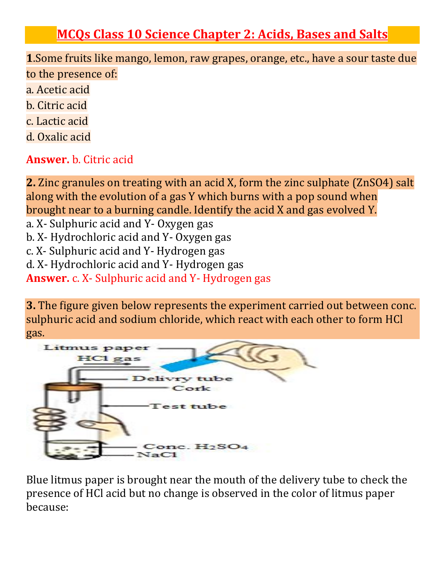# **MCQs Class 10 Science Chapter 2: Acids, Bases and Salts**

**1**.Some fruits like mango, lemon, raw grapes, orange, etc., have a sour taste due to the presence of:

- a. Acetic acid
- b. Citric acid
- c. Lactic acid
- d. Oxalic acid

**Answer.** b. Citric acid

**2.** Zinc granules on treating with an acid X, form the zinc sulphate (ZnSO4) salt along with the evolution of a gas Y which burns with a pop sound when brought near to a burning candle. Identify the acid X and gas evolved Y. a. X- Sulphuric acid and Y- Oxygen gas b. X- Hydrochloric acid and Y- Oxygen gas c. X- Sulphuric acid and Y- Hydrogen gas d. X- Hydrochloric acid and Y- Hydrogen gas **Answer.** c. X- Sulphuric acid and Y- Hydrogen gas

**3.** The figure given below represents the experiment carried out between conc. sulphuric acid and sodium chloride, which react with each other to form HCl gas.



Blue litmus paper is brought near the mouth of the delivery tube to check the presence of HCl acid but no change is observed in the color of litmus paper because: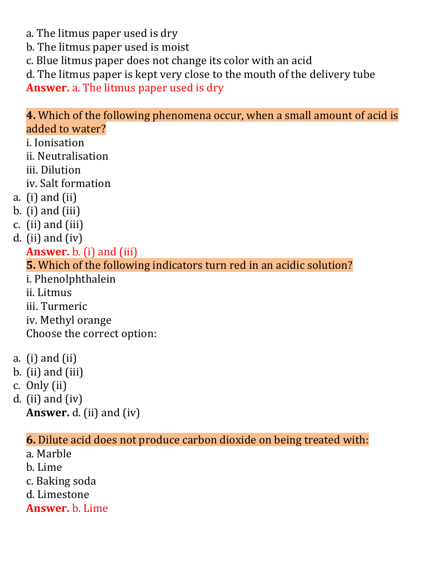a. The litmus paper used is dry

b. The litmus paper used is moist

c. Blue litmus paper does not change its color with an acid

d. The litmus paper is kept very close to the mouth of the delivery tube

**Answer.** a. The litmus paper used is dry

### **4.** Which of the following phenomena occur, when a small amount of acid is added to water?

i. Ionisation ii. Neutralisation iii. Dilution iv. Salt formation a. (i) and (ii)  $b.$  (i) and (iii) c. (ii) and (iii) d. (ii) and (iv) **Answer.** b. (i) and (iii) **5.** Which of the following indicators turn red in an acidic solution? i. Phenolphthalein ii. Litmus iii. Turmeric iv. Methyl orange Choose the correct option: a. (i) and (ii)

- $b.$  (ii) and (iii)
- c. Only (ii)
- d. (ii) and (iv) **Answer.** d. (ii) and (iv)

#### **6.** Dilute acid does not produce carbon dioxide on being treated with:

a. Marble b. Lime c. Baking soda d. Limestone

**Answer.** b. Lime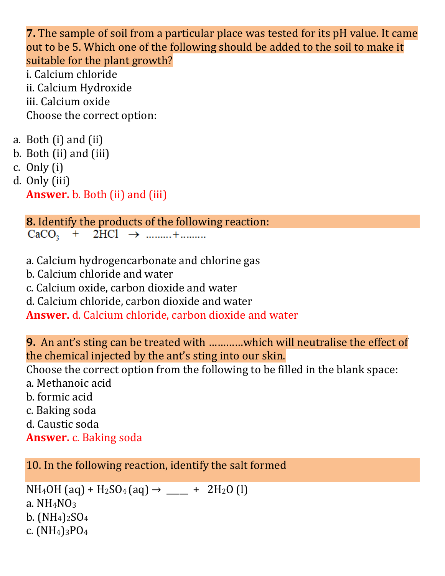**7.** The sample of soil from a particular place was tested for its pH value. It came out to be 5. Which one of the following should be added to the soil to make it suitable for the plant growth?

i. Calcium chloride ii. Calcium Hydroxide iii. Calcium oxide Choose the correct option:

- a. Both (i) and (ii)
- b. Both (ii) and (iii)
- c. Only (i)
- d. Only (iii)

**Answer.** b. Both (ii) and (iii)

**8.** Identify the products of the following reaction:  $CaCO<sub>3</sub> + 2HCl \rightarrow 1111... + 11111...$ 

- a. Calcium hydrogencarbonate and chlorine gas
- b. Calcium chloride and water
- c. Calcium oxide, carbon dioxide and water
- d. Calcium chloride, carbon dioxide and water

**Answer.** d. Calcium chloride, carbon dioxide and water

**9.** An ant's sting can be treated with …………which will neutralise the effect of the chemical injected by the ant's sting into our skin.

Choose the correct option from the following to be filled in the blank space:

a. Methanoic acid

b. formic acid

c. Baking soda

d. Caustic soda

**Answer.** c. Baking soda

10. In the following reaction, identify the salt formed

```
NH_4OH (aq) + H<sub>2</sub>SO<sub>4</sub> (aq) \rightarrow ____ + 2H<sub>2</sub>O (l)
a. NH<sub>4</sub>NO<sub>3</sub>b. (NH<sub>4</sub>)<sub>2</sub>SO<sub>4</sub>c. (NH_4)_{3}PO_4
```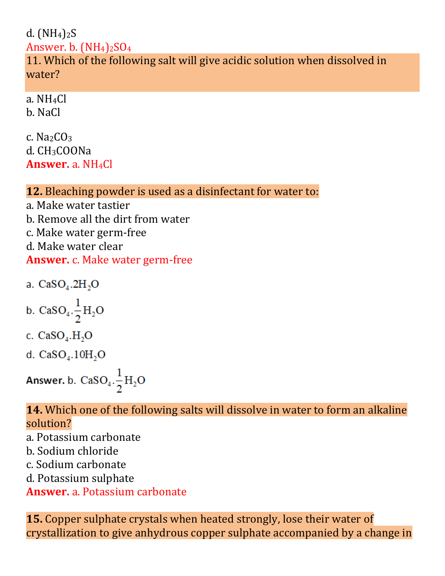## d.  $(NH<sub>4</sub>)<sub>2</sub>S$ Answer. b.  $(NH_4)_2SO_4$ 11. Which of the following salt will give acidic solution when dissolved in water?

a. NH4Cl b. NaCl

c. Na2CO<sup>3</sup> d. CH3COONa **Answer.** a. NH4Cl

# **12.** Bleaching powder is used as a disinfectant for water to:

a. Make water tastier b. Remove all the dirt from water c. Make water germ-free d. Make water clear **Answer.** c. Make water germ-free

a.  $CaSO<sub>4</sub>$ .2H<sub>2</sub>O

b. CaSO<sub>4</sub>. $\frac{1}{2}H_2O$ 

c. 
$$
CaSO_4.H_2O
$$

d.  $CaSO<sub>4</sub>$ .  $10H<sub>2</sub>O$ 

Answer. b. CaSO<sub>4</sub>. $\frac{1}{2}H_2O$ 

### **14.** Which one of the following salts will dissolve in water to form an alkaline solution?

a. Potassium carbonate

b. Sodium chloride

c. Sodium carbonate

d. Potassium sulphate

**Answer.** a. Potassium carbonate

**15.** Copper sulphate crystals when heated strongly, lose their water of crystallization to give anhydrous copper sulphate accompanied by a change in